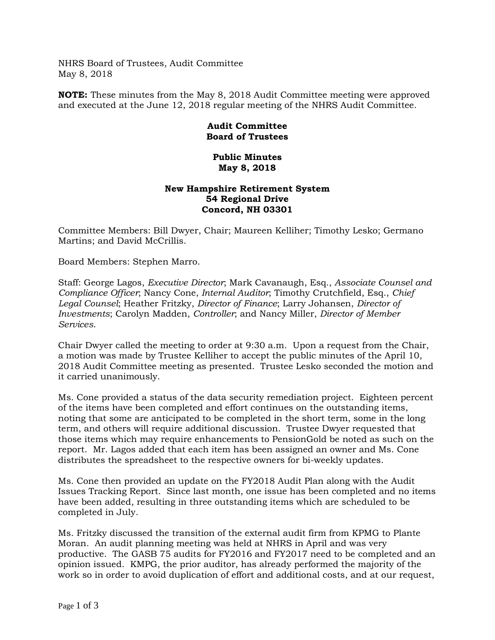NHRS Board of Trustees, Audit Committee May 8, 2018

**NOTE:** These minutes from the May 8, 2018 Audit Committee meeting were approved and executed at the June 12, 2018 regular meeting of the NHRS Audit Committee.

## **Audit Committee Board of Trustees**

## **Public Minutes May 8, 2018**

## **New Hampshire Retirement System 54 Regional Drive Concord, NH 03301**

Committee Members: Bill Dwyer, Chair; Maureen Kelliher; Timothy Lesko; Germano Martins; and David McCrillis.

Board Members: Stephen Marro.

Staff: George Lagos, *Executive Director*; Mark Cavanaugh, Esq., *Associate Counsel and Compliance Officer*; Nancy Cone, *Internal Auditor*; Timothy Crutchfield, Esq., *Chief Legal Counsel*; Heather Fritzky, *Director of Finance*; Larry Johansen, *Director of Investments*; Carolyn Madden, *Controller*; and Nancy Miller, *Director of Member Services*.

Chair Dwyer called the meeting to order at 9:30 a.m. Upon a request from the Chair, a motion was made by Trustee Kelliher to accept the public minutes of the April 10, 2018 Audit Committee meeting as presented. Trustee Lesko seconded the motion and it carried unanimously.

Ms. Cone provided a status of the data security remediation project. Eighteen percent of the items have been completed and effort continues on the outstanding items, noting that some are anticipated to be completed in the short term, some in the long term, and others will require additional discussion. Trustee Dwyer requested that those items which may require enhancements to PensionGold be noted as such on the report. Mr. Lagos added that each item has been assigned an owner and Ms. Cone distributes the spreadsheet to the respective owners for bi-weekly updates.

Ms. Cone then provided an update on the FY2018 Audit Plan along with the Audit Issues Tracking Report. Since last month, one issue has been completed and no items have been added, resulting in three outstanding items which are scheduled to be completed in July.

Ms. Fritzky discussed the transition of the external audit firm from KPMG to Plante Moran. An audit planning meeting was held at NHRS in April and was very productive. The GASB 75 audits for FY2016 and FY2017 need to be completed and an opinion issued. KMPG, the prior auditor, has already performed the majority of the work so in order to avoid duplication of effort and additional costs, and at our request,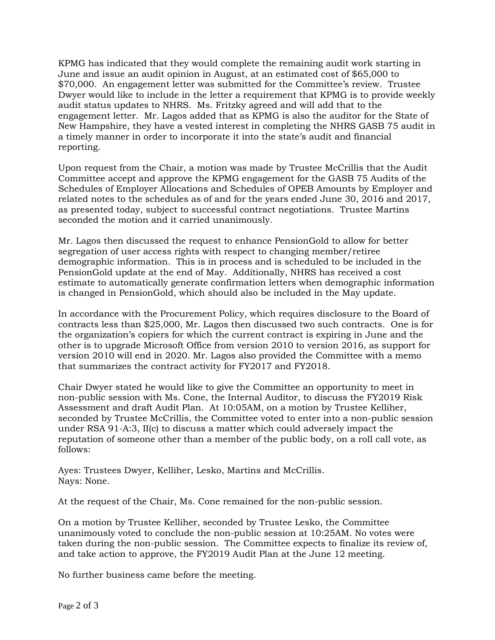KPMG has indicated that they would complete the remaining audit work starting in June and issue an audit opinion in August, at an estimated cost of \$65,000 to \$70,000. An engagement letter was submitted for the Committee's review. Trustee Dwyer would like to include in the letter a requirement that KPMG is to provide weekly audit status updates to NHRS. Ms. Fritzky agreed and will add that to the engagement letter. Mr. Lagos added that as KPMG is also the auditor for the State of New Hampshire, they have a vested interest in completing the NHRS GASB 75 audit in a timely manner in order to incorporate it into the state's audit and financial reporting.

Upon request from the Chair, a motion was made by Trustee McCrillis that the Audit Committee accept and approve the KPMG engagement for the GASB 75 Audits of the Schedules of Employer Allocations and Schedules of OPEB Amounts by Employer and related notes to the schedules as of and for the years ended June 30, 2016 and 2017, as presented today, subject to successful contract negotiations. Trustee Martins seconded the motion and it carried unanimously.

Mr. Lagos then discussed the request to enhance PensionGold to allow for better segregation of user access rights with respect to changing member/retiree demographic information. This is in process and is scheduled to be included in the PensionGold update at the end of May. Additionally, NHRS has received a cost estimate to automatically generate confirmation letters when demographic information is changed in PensionGold, which should also be included in the May update.

In accordance with the Procurement Policy, which requires disclosure to the Board of contracts less than \$25,000, Mr. Lagos then discussed two such contracts. One is for the organization's copiers for which the current contract is expiring in June and the other is to upgrade Microsoft Office from version 2010 to version 2016, as support for version 2010 will end in 2020. Mr. Lagos also provided the Committee with a memo that summarizes the contract activity for FY2017 and FY2018.

Chair Dwyer stated he would like to give the Committee an opportunity to meet in non-public session with Ms. Cone, the Internal Auditor, to discuss the FY2019 Risk Assessment and draft Audit Plan. At 10:05AM, on a motion by Trustee Kelliher, seconded by Trustee McCrillis, the Committee voted to enter into a non-public session under RSA 91-A:3, II(c) to discuss a matter which could adversely impact the reputation of someone other than a member of the public body, on a roll call vote, as follows:

Ayes: Trustees Dwyer, Kelliher, Lesko, Martins and McCrillis. Nays: None.

At the request of the Chair, Ms. Cone remained for the non-public session.

On a motion by Trustee Kelliher, seconded by Trustee Lesko, the Committee unanimously voted to conclude the non-public session at 10:25AM. No votes were taken during the non-public session. The Committee expects to finalize its review of, and take action to approve, the FY2019 Audit Plan at the June 12 meeting.

No further business came before the meeting.